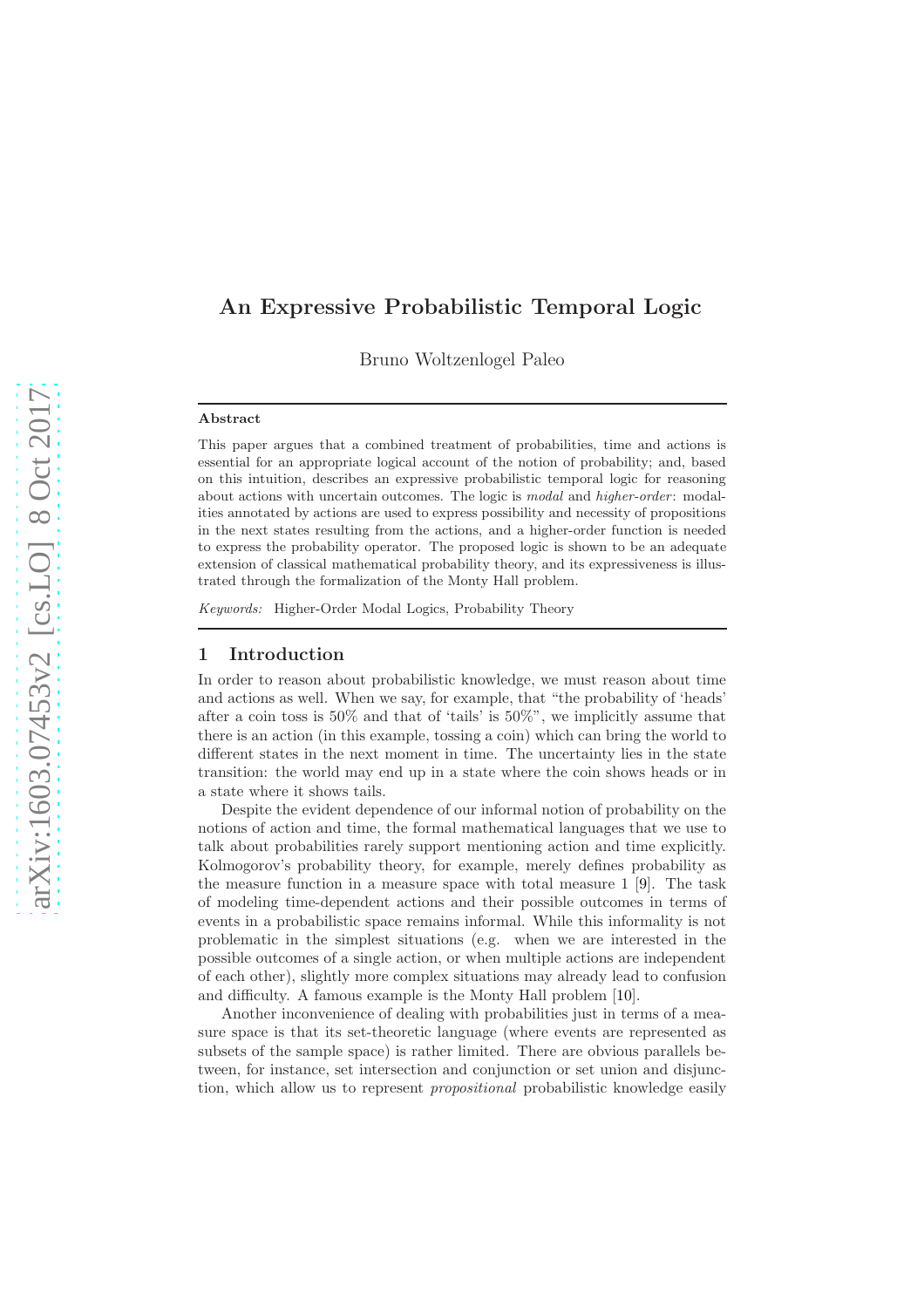# An Expressive Probabilistic Temporal Logic

Bruno Woltzenlogel Paleo

### Abstract

This paper argues that a combined treatment of probabilities, time and actions is essential for an appropriate logical account of the notion of probability; and, based on this intuition, describes an expressive probabilistic temporal logic for reasoning about actions with uncertain outcomes. The logic is *modal* and *higher-order*: modalities annotated by actions are used to express possibility and necessity of propositions in the next states resulting from the actions, and a higher-order function is needed to express the probability operator. The proposed logic is shown to be an adequate extension of classical mathematical probability theory, and its expressiveness is illustrated through the formalization of the Monty Hall problem.

Keywords: Higher-Order Modal Logics, Probability Theory

### 1 Introduction

In order to reason about probabilistic knowledge, we must reason about time and actions as well. When we say, for example, that "the probability of 'heads' after a coin toss is 50% and that of 'tails' is 50%", we implicitly assume that there is an action (in this example, tossing a coin) which can bring the world to different states in the next moment in time. The uncertainty lies in the state transition: the world may end up in a state where the coin shows heads or in a state where it shows tails.

Despite the evident dependence of our informal notion of probability on the notions of action and time, the formal mathematical languages that we use to talk about probabilities rarely support mentioning action and time explicitly. Kolmogorov's probability theory, for example, merely defines probability as the measure function in a measure space with total measure 1 [\[9\]](#page-15-0). The task of modeling time-dependent actions and their possible outcomes in terms of events in a probabilistic space remains informal. While this informality is not problematic in the simplest situations (e.g. when we are interested in the possible outcomes of a single action, or when multiple actions are independent of each other), slightly more complex situations may already lead to confusion and difficulty. A famous example is the Monty Hall problem [\[10\]](#page-15-1).

Another inconvenience of dealing with probabilities just in terms of a measure space is that its set-theoretic language (where events are represented as subsets of the sample space) is rather limited. There are obvious parallels between, for instance, set intersection and conjunction or set union and disjunction, which allow us to represent propositional probabilistic knowledge easily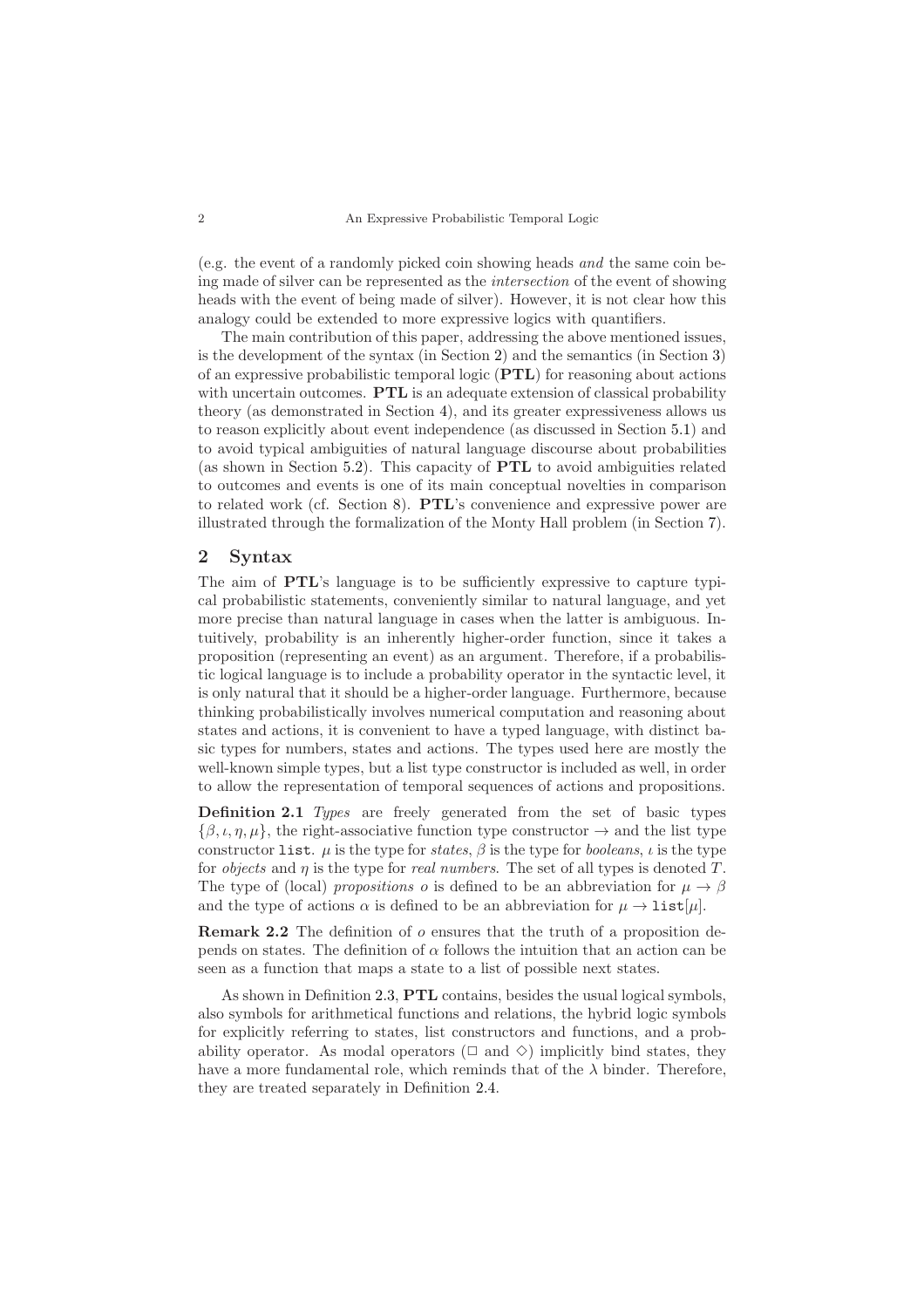(e.g. the event of a randomly picked coin showing heads and the same coin being made of silver can be represented as the intersection of the event of showing heads with the event of being made of silver). However, it is not clear how this analogy could be extended to more expressive logics with quantifiers.

The main contribution of this paper, addressing the above mentioned issues, is the development of the syntax (in Section [2\)](#page-1-0) and the semantics (in Section [3\)](#page-3-0) of an expressive probabilistic temporal logic (PTL) for reasoning about actions with uncertain outcomes. **PTL** is an adequate extension of classical probability theory (as demonstrated in Section [4\)](#page-5-0), and its greater expressiveness allows us to reason explicitly about event independence (as discussed in Section [5.1\)](#page-7-0) and to avoid typical ambiguities of natural language discourse about probabilities (as shown in Section [5.2\)](#page-9-0). This capacity of PTL to avoid ambiguities related to outcomes and events is one of its main conceptual novelties in comparison to related work (cf. Section [8\)](#page-13-0). PTL's convenience and expressive power are illustrated through the formalization of the Monty Hall problem (in Section [7\)](#page-11-0).

## <span id="page-1-0"></span>2 Syntax

The aim of PTL's language is to be sufficiently expressive to capture typical probabilistic statements, conveniently similar to natural language, and yet more precise than natural language in cases when the latter is ambiguous. Intuitively, probability is an inherently higher-order function, since it takes a proposition (representing an event) as an argument. Therefore, if a probabilistic logical language is to include a probability operator in the syntactic level, it is only natural that it should be a higher-order language. Furthermore, because thinking probabilistically involves numerical computation and reasoning about states and actions, it is convenient to have a typed language, with distinct basic types for numbers, states and actions. The types used here are mostly the well-known simple types, but a list type constructor is included as well, in order to allow the representation of temporal sequences of actions and propositions.

Definition 2.1 Types are freely generated from the set of basic types  $\{\beta,\iota,\eta,\mu\},\$  the right-associative function type constructor  $\rightarrow$  and the list type constructor list.  $\mu$  is the type for states,  $\beta$  is the type for booleans,  $\iota$  is the type for *objects* and  $\eta$  is the type for *real numbers*. The set of all types is denoted  $T$ . The type of (local) propositions o is defined to be an abbreviation for  $\mu \to \beta$ and the type of actions  $\alpha$  is defined to be an abbreviation for  $\mu \to \text{list}[\mu]$ .

Remark 2.2 The definition of o ensures that the truth of a proposition depends on states. The definition of  $\alpha$  follows the intuition that an action can be seen as a function that maps a state to a list of possible next states.

<span id="page-1-1"></span>As shown in Definition [2.3,](#page-1-1) PTL contains, besides the usual logical symbols, also symbols for arithmetical functions and relations, the hybrid logic symbols for explicitly referring to states, list constructors and functions, and a probability operator. As modal operators ( $\Box$  and  $\diamond$ ) implicitly bind states, they have a more fundamental role, which reminds that of the  $\lambda$  binder. Therefore, they are treated separately in Definition [2.4.](#page-2-0)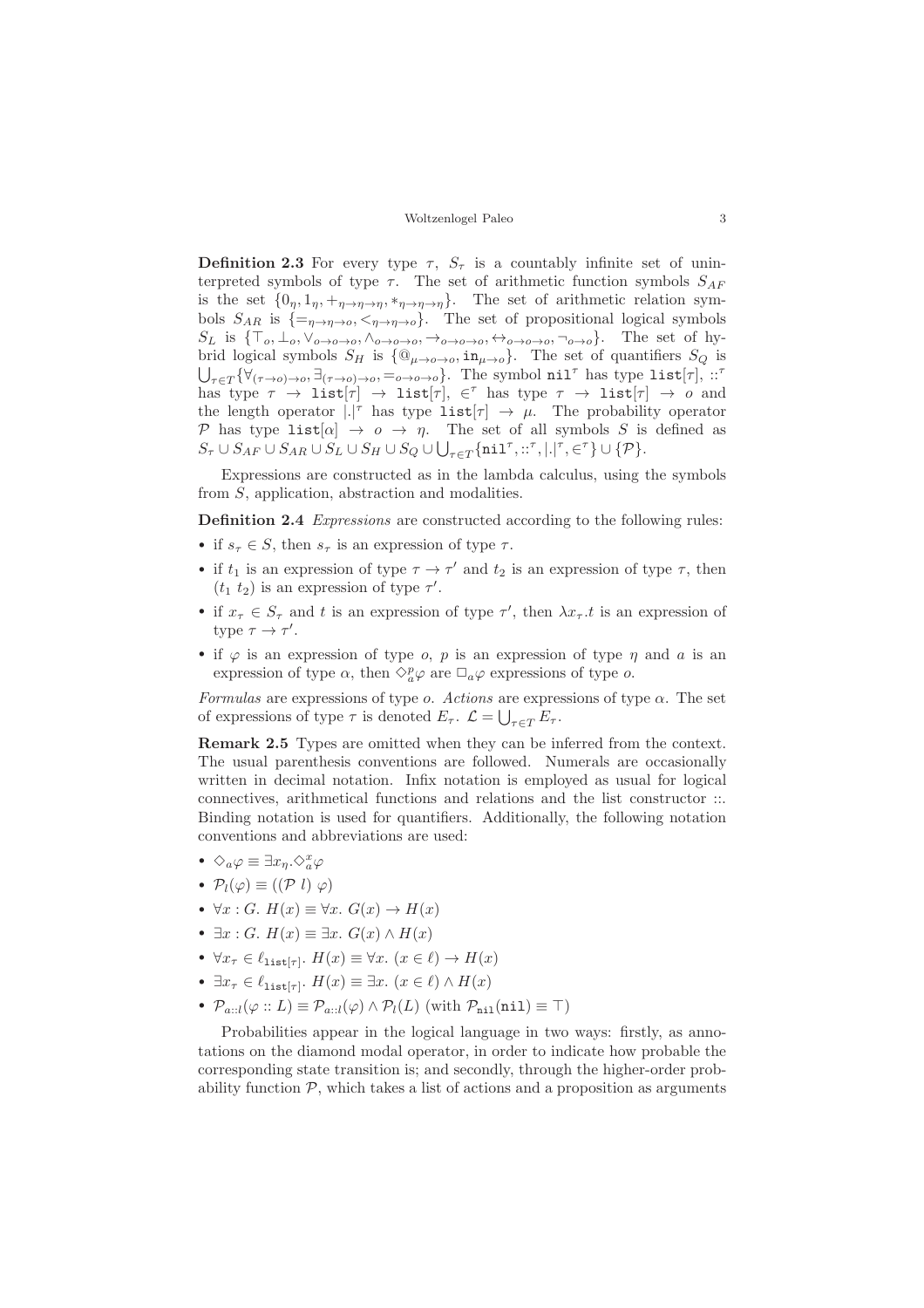**Definition 2.3** For every type  $\tau$ ,  $S_{\tau}$  is a countably infinite set of uninterpreted symbols of type  $\tau$ . The set of arithmetic function symbols  $S_{AF}$ is the set  $\{0_\eta, 1_\eta, +_{\eta \to \eta \to \eta}, *_{\eta \to \eta \to \eta}\}$ . The set of arithmetic relation symbols  $S_{AR}$  is  $\{=\eta \rightarrow \eta \rightarrow o, \langle \eta \rightarrow \eta \rightarrow o \rangle\}$ . The set of propositional logical symbols  $S_L$  is  $\{\top_o, \bot_o, \vee_{o\to o\to o}, \wedge_{o\to o\to o}, \rightarrow_{o\to o\to o}, \leftrightarrow_{o\to o\to o}, \neg_{o\to o}\}.$  The set of hybrid logical symbols  $S_H$  is  $\{\mathbb{Q}_{\mu\to o\to o},\text{in}_{\mu\to o}\}$ . The set of quantifiers  $S_Q$  is  $\bigcup_{\tau \in T} \{ \forall_{(\tau \to o) \to o}, \exists_{(\tau \to o) \to o}, =_{o \to o \to o} \}$ . The symbol nil<sup>t</sup> has type list[ $\tau$ ], ::<sup>7</sup> has type  $\tau \to \text{list}[\tau] \to \text{list}[\tau], \in^{\tau}$  has type  $\tau \to \text{list}[\tau] \to o$  and the length operator  $|.|^{\tau}$  has type  $\text{list}[\tau] \rightarrow \mu$ . The probability operator P has type list  $[\alpha] \rightarrow o \rightarrow \eta$ . The set of all symbols S is defined as  $S_{\tau}\cup S_{AF}\cup S_{AR}\cup S_{L}\cup S_{H}\cup S_{Q}\cup \bigcup_{\tau\in T}\{\texttt{nil}^{\tau},::^{\tau},\vert .\vert^{\tau},\in^{\tau}\}\cup\{\mathcal{P}\}.$ 

Expressions are constructed as in the lambda calculus, using the symbols from S, application, abstraction and modalities.

<span id="page-2-0"></span>Definition 2.4 Expressions are constructed according to the following rules:

- if  $s_{\tau} \in S$ , then  $s_{\tau}$  is an expression of type  $\tau$ .
- if  $t_1$  is an expression of type  $\tau \to \tau'$  and  $t_2$  is an expression of type  $\tau$ , then  $(t_1 t_2)$  is an expression of type  $\tau'$ .
- if  $x_{\tau} \in S_{\tau}$  and t is an expression of type  $\tau'$ , then  $\lambda x_{\tau}.t$  is an expression of type  $\tau \to \tau'$ .
- if  $\varphi$  is an expression of type *o*, *p* is an expression of type  $\eta$  and *a* is an expression of type  $\alpha$ , then  $\Diamond_{a}^{p}\varphi$  are  $\Box_{a}\varphi$  expressions of type  $o$ .

Formulas are expressions of type  $\alpha$ . Actions are expressions of type  $\alpha$ . The set of expressions of type  $\tau$  is denoted  $E_{\tau}$ .  $\mathcal{L} = \bigcup_{\tau \in T} E_{\tau}$ .

Remark 2.5 Types are omitted when they can be inferred from the context. The usual parenthesis conventions are followed. Numerals are occasionally written in decimal notation. Infix notation is employed as usual for logical connectives, arithmetical functions and relations and the list constructor ::. Binding notation is used for quantifiers. Additionally, the following notation conventions and abbreviations are used:

- $\Diamond_a \varphi \equiv \exists x_\eta . \Diamond^x_a \varphi$
- $\mathcal{P}_l(\varphi) \equiv ((\mathcal{P} \; l) \; \varphi)$
- $\forall x : G$ .  $H(x) \equiv \forall x$ .  $G(x) \rightarrow H(x)$
- $\exists x : G$ .  $H(x) \equiv \exists x$ .  $G(x) \wedge H(x)$
- $\forall x_{\tau} \in \ell_{\text{list}[\tau]}.$   $H(x) \equiv \forall x.$   $(x \in \ell) \rightarrow H(x)$
- $\exists x_{\tau} \in \ell_{\text{list}[\tau]}.$   $H(x) \equiv \exists x.$   $(x \in \ell) \wedge H(x)$
- $\mathcal{P}_{a::l}(\varphi::L) \equiv \mathcal{P}_{a::l}(\varphi) \wedge \mathcal{P}_l(L)$  (with  $\mathcal{P}_{\text{nil}}(\text{nil}) \equiv \top$ )

Probabilities appear in the logical language in two ways: firstly, as annotations on the diamond modal operator, in order to indicate how probable the corresponding state transition is; and secondly, through the higher-order probability function  $P$ , which takes a list of actions and a proposition as arguments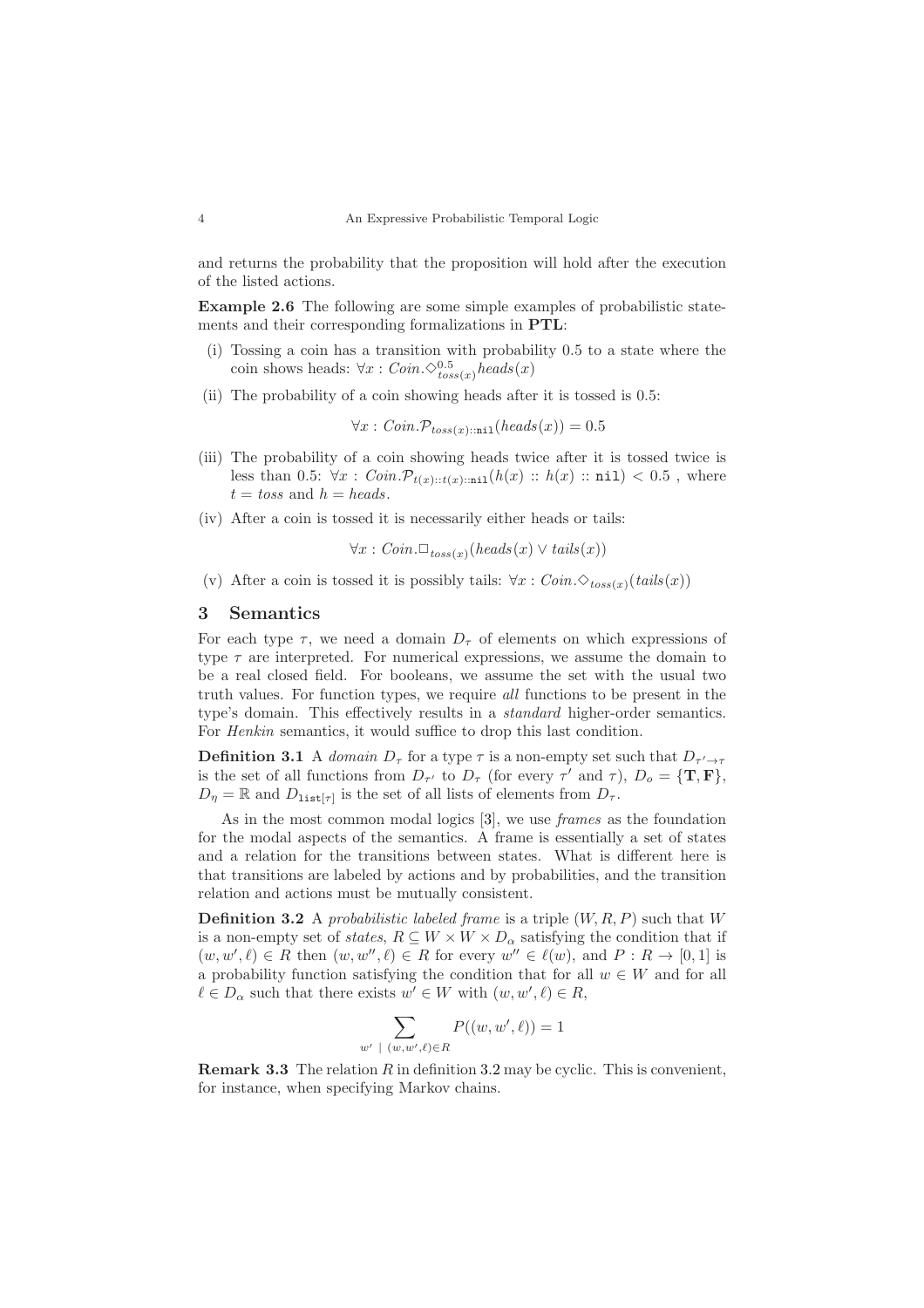and returns the probability that the proposition will hold after the execution of the listed actions.

Example 2.6 The following are some simple examples of probabilistic statements and their corresponding formalizations in PTL:

- (i) Tossing a coin has a transition with probability 0.5 to a state where the coin shows heads:  $\forall x : Coin.\diamondsuit_{toss(x)}^{0.5} heads(x)$
- (ii) The probability of a coin showing heads after it is tossed is 0.5:

 $\forall x : Coin.\mathcal{P}_{toss(x)\cdot\text{inj}}(heads(x)) = 0.5$ 

- (iii) The probability of a coin showing heads twice after it is tossed twice is less than 0.5:  $\forall x : Coin.\mathcal{P}_{t(x)::t(x)::ni}(h(x) :: h(x) :: ni) < 0.5$ , where t = toss and h = heads.
- (iv) After a coin is tossed it is necessarily either heads or tails:

$$
\forall x : Coin. \Box_{toss(x)}(heads(x) \lor tails(x))
$$

(v) After a coin is tossed it is possibly tails:  $\forall x : Coin.\diamond_{toss(x)}(tails(x))$ 

#### <span id="page-3-0"></span>3 Semantics

For each type  $\tau$ , we need a domain  $D_{\tau}$  of elements on which expressions of type  $\tau$  are interpreted. For numerical expressions, we assume the domain to be a real closed field. For booleans, we assume the set with the usual two truth values. For function types, we require all functions to be present in the type's domain. This effectively results in a standard higher-order semantics. For Henkin semantics, it would suffice to drop this last condition.

**Definition 3.1** A domain  $D_{\tau}$  for a type  $\tau$  is a non-empty set such that  $D_{\tau' \to \tau}$ is the set of all functions from  $D_{\tau'}$  to  $D_{\tau}$  (for every  $\tau'$  and  $\tau$ ),  $D_o = {\mathbf{T}, \mathbf{F}}$ ,  $D_{\eta} = \mathbb{R}$  and  $D_{\text{list}[\tau]}$  is the set of all lists of elements from  $D_{\tau}$ .

As in the most common modal logics [\[3\]](#page-15-2), we use *frames* as the foundation for the modal aspects of the semantics. A frame is essentially a set of states and a relation for the transitions between states. What is different here is that transitions are labeled by actions and by probabilities, and the transition relation and actions must be mutually consistent.

<span id="page-3-1"></span>**Definition 3.2** A probabilistic labeled frame is a triple  $(W, R, P)$  such that W is a non-empty set of *states*,  $R \subseteq W \times W \times D_{\alpha}$  satisfying the condition that if  $(w, w', \ell) \in R$  then  $(w, w'', \ell) \in R$  for every  $w'' \in \ell(w)$ , and  $P: R \to [0, 1]$  is a probability function satisfying the condition that for all  $w \in W$  and for all  $\ell \in D_\alpha$  such that there exists  $w' \in W$  with  $(w, w', \ell) \in R$ ,

$$
\sum_{\vert \langle w, w', \ell \rangle \in R} P((w, w', \ell)) = 1
$$

**Remark 3.3** The relation  $R$  in definition [3.2](#page-3-1) may be cyclic. This is convenient, for instance, when specifying Markov chains.

 $\dot{w}$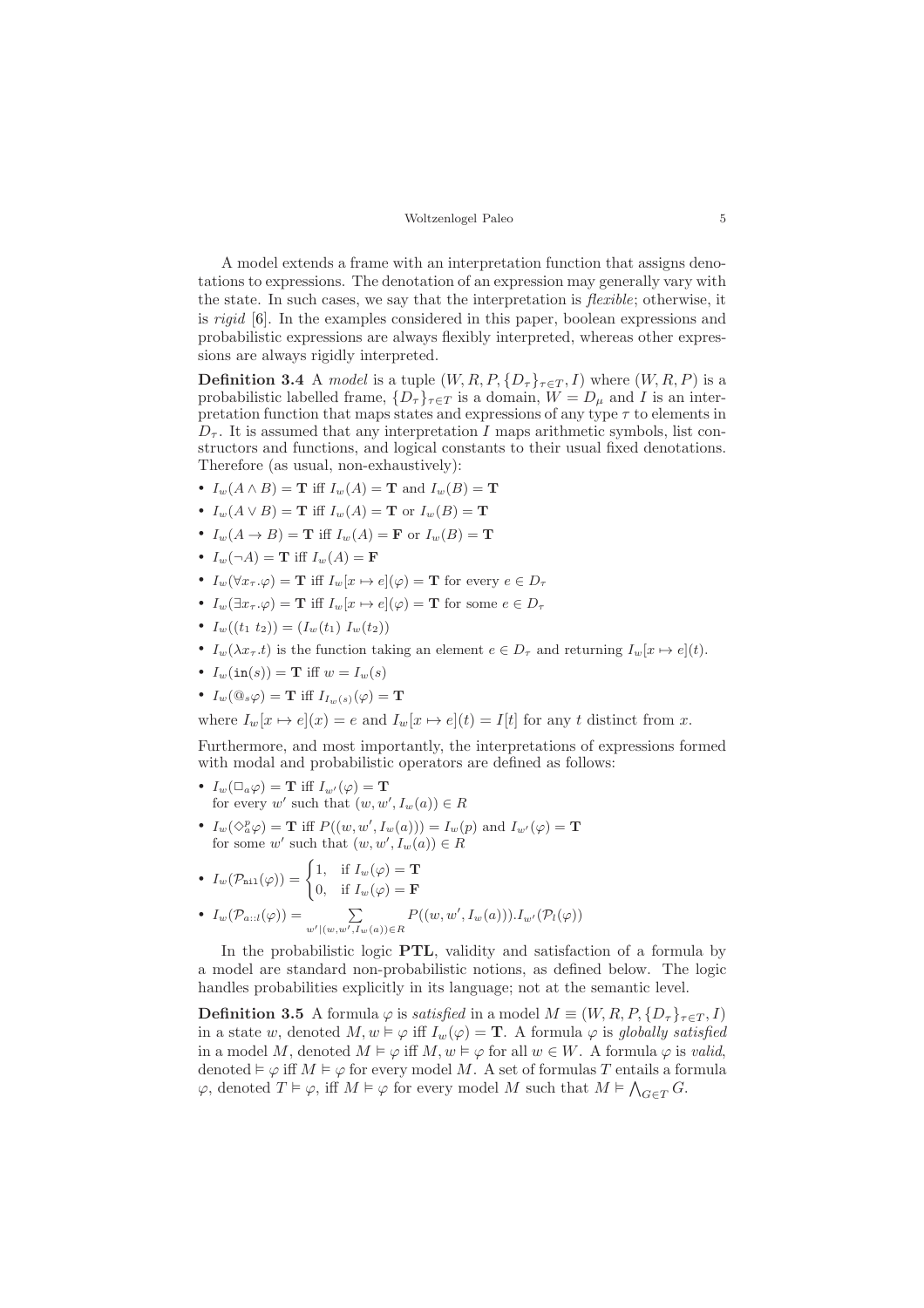A model extends a frame with an interpretation function that assigns denotations to expressions. The denotation of an expression may generally vary with the state. In such cases, we say that the interpretation is flexible; otherwise, it is rigid [\[6\]](#page-15-3). In the examples considered in this paper, boolean expressions and probabilistic expressions are always flexibly interpreted, whereas other expressions are always rigidly interpreted.

<span id="page-4-1"></span>**Definition 3.4** A model is a tuple  $(W, R, P, \{D_\tau\}_{\tau \in T}, I)$  where  $(W, R, P)$  is a probabilistic labelled frame,  $\{D_{\tau}\}_{\tau \in T}$  is a domain,  $W = D_{\mu}$  and I is an interpretation function that maps states and expressions of any type  $\tau$  to elements in  $D_{\tau}$ . It is assumed that any interpretation I maps arithmetic symbols, list constructors and functions, and logical constants to their usual fixed denotations. Therefore (as usual, non-exhaustively):

- $I_w(A \wedge B) = \mathbf{T}$  iff  $I_w(A) = \mathbf{T}$  and  $I_w(B) = \mathbf{T}$
- $I_w(A \vee B) = \mathbf{T}$  iff  $I_w(A) = \mathbf{T}$  or  $I_w(B) = \mathbf{T}$
- $I_w(A \rightarrow B) = \mathbf{T}$  iff  $I_w(A) = \mathbf{F}$  or  $I_w(B) = \mathbf{T}$
- $I_w(\neg A) = \mathbf{T}$  iff  $I_w(A) = \mathbf{F}$
- $I_w(\forall x_\tau.\varphi) = \mathbf{T}$  iff  $I_w[x \mapsto e](\varphi) = \mathbf{T}$  for every  $e \in D_\tau$
- $I_w(\exists x_\tau.\varphi) = \mathbf{T}$  iff  $I_w[x \mapsto e](\varphi) = \mathbf{T}$  for some  $e \in D_\tau$
- $I_w((t_1 \ t_2)) = (I_w(t_1) \ I_w(t_2))$
- $I_w(\lambda x_{\tau}.t)$  is the function taking an element  $e \in D_{\tau}$  and returning  $I_w[x \mapsto e](t)$ .
- $I_w(\text{in}(s)) = \mathbf{T}$  iff  $w = I_w(s)$
- $I_w(\mathbb{Q}_s \varphi) = \mathbf{T}$  iff  $I_{I_w(s)}(\varphi) = \mathbf{T}$

where  $I_w[x \mapsto e](x) = e$  and  $I_w[x \mapsto e](t) = I[t]$  for any t distinct from x.

Furthermore, and most importantly, the interpretations of expressions formed with modal and probabilistic operators are defined as follows:

- $I_w(\Box_a \varphi) = \mathbf{T}$  iff  $I_{w'}(\varphi) = \mathbf{T}$ for every w' such that  $(w, w', I_w(a)) \in R$
- $I_w(\Diamond^p_a \varphi) = \mathbf{T}$  iff  $P((w, w', I_w(a))) = I_w(p)$  and  $I_{w'}(\varphi) = \mathbf{T}$ for some w' such that  $(w, w', I_w(a)) \in R$
- $I_w(\mathcal{P}_{\rm nil}(\varphi)) = \begin{cases} 1, & \text{if } I_w(\varphi) = \mathbf{T} \\ 0, & \text{if } I_w(\varphi) = \mathbf{T} \end{cases}$ 0, if  $I_w(\varphi) = \mathbf{F}$
- $\bullet$   $I_w(\mathcal{P}_{a::l}(\varphi)) = \sum_{w' \mid (w,w',I_w(a)) \in R}$  $P((w, w', I_w(a))) \cdot I_{w'}(\mathcal{P}_l(\varphi))$

In the probabilistic logic PTL, validity and satisfaction of a formula by a model are standard non-probabilistic notions, as defined below. The logic handles probabilities explicitly in its language; not at the semantic level.

<span id="page-4-0"></span>**Definition 3.5** A formula  $\varphi$  is *satisfied* in a model  $M \equiv (W, R, P, \{D_\tau\}_{\tau \in T}, I)$ in a state w, denoted  $M, w \models \varphi$  iff  $I_w(\varphi) = \mathbf{T}$ . A formula  $\varphi$  is globally satisfied in a model M, denoted  $M \models \varphi$  iff  $M, w \models \varphi$  for all  $w \in W$ . A formula  $\varphi$  is valid, denoted  $\vDash \varphi$  iff  $M \vDash \varphi$  for every model M. A set of formulas T entails a formula  $\varphi$ , denoted  $T \vDash \varphi$ , iff  $M \vDash \varphi$  for every model M such that  $M \vDash \bigwedge_{G \in T} G$ .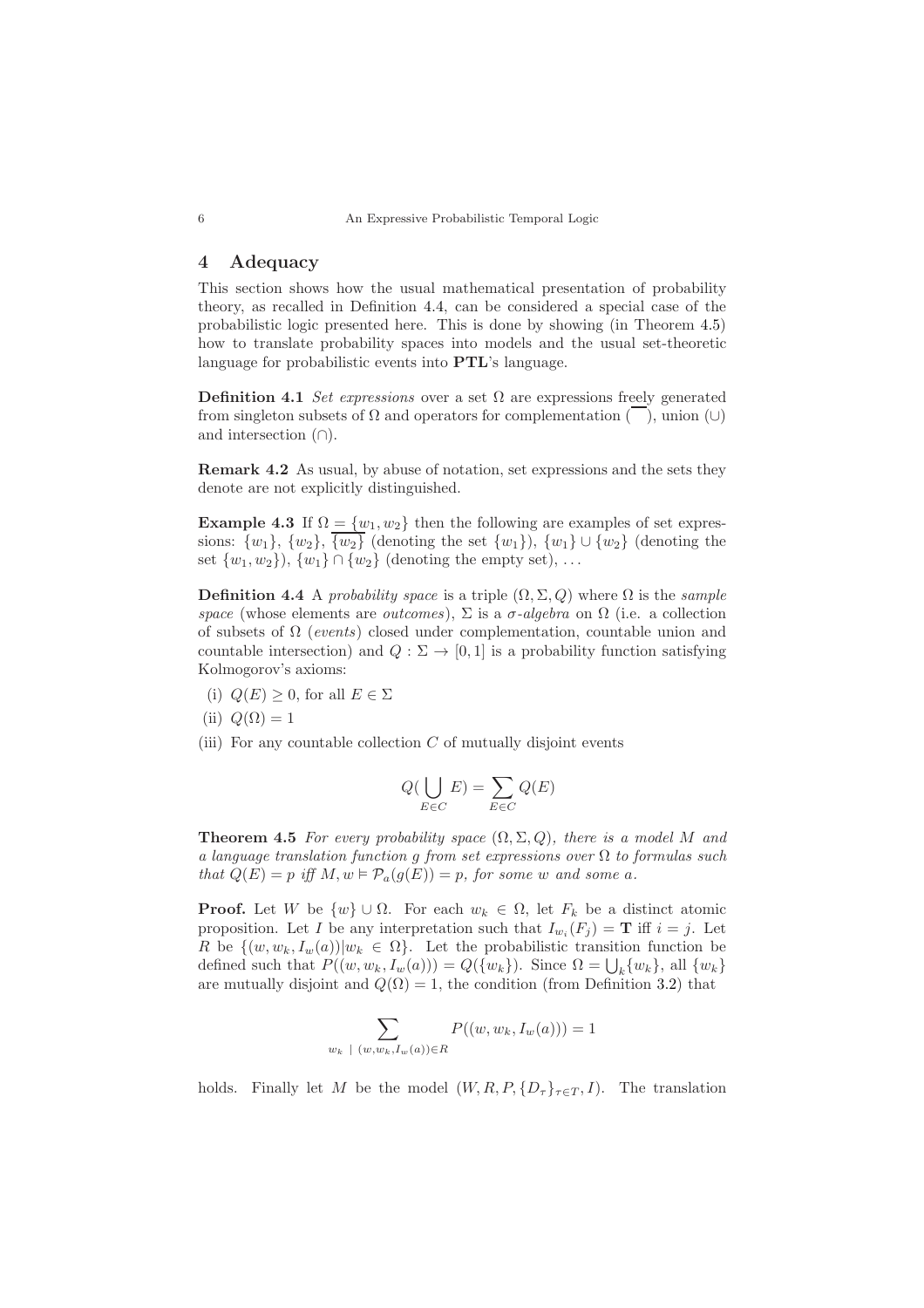## <span id="page-5-0"></span>4 Adequacy

This section shows how the usual mathematical presentation of probability theory, as recalled in Definition [4.4,](#page-5-1) can be considered a special case of the probabilistic logic presented here. This is done by showing (in Theorem [4.5\)](#page-5-2) how to translate probability spaces into models and the usual set-theoretic language for probabilistic events into PTL's language.

Definition 4.1 Set expressions over a set  $\Omega$  are expressions freely generated from singleton subsets of  $\Omega$  and operators for complementation  $(\overline{\phantom{a}})$ , union  $(\cup)$ and intersection (∩).

Remark 4.2 As usual, by abuse of notation, set expressions and the sets they denote are not explicitly distinguished.

**Example 4.3** If  $\Omega = \{w_1, w_2\}$  then the following are examples of set expressions:  $\{w_1\}$ ,  $\{w_2\}$ ,  $\overline{\{w_2\}}$  (denoting the set  $\{w_1\}$ ),  $\{w_1\} \cup \{w_2\}$  (denoting the set  $\{w_1, w_2\}$ ,  $\{w_1\} \cap \{w_2\}$  (denoting the empty set), ...

<span id="page-5-1"></span>**Definition 4.4** A probability space is a triple  $(\Omega, \Sigma, Q)$  where  $\Omega$  is the sample space (whose elements are *outcomes*),  $\Sigma$  is a  $\sigma$ -algebra on  $\Omega$  (i.e. a collection of subsets of  $\Omega$  (events) closed under complementation, countable union and countable intersection) and  $Q : \Sigma \to [0, 1]$  is a probability function satisfying Kolmogorov's axioms:

- (i)  $Q(E) \geq 0$ , for all  $E \in \Sigma$
- (ii)  $Q(\Omega) = 1$
- (iii) For any countable collection  $C$  of mutually disjoint events

$$
Q(\bigcup_{E \in C} E) = \sum_{E \in C} Q(E)
$$

<span id="page-5-2"></span>**Theorem 4.5** For every probability space  $(\Omega, \Sigma, Q)$ , there is a model M and a language translation function g from set expressions over  $\Omega$  to formulas such that  $Q(E) = p$  iff  $M, w \models \mathcal{P}_a(g(E)) = p$ , for some w and some a.

**Proof.** Let W be  $\{w\} \cup \Omega$ . For each  $w_k \in \Omega$ , let  $F_k$  be a distinct atomic proposition. Let I be any interpretation such that  $I_{w_i}(F_j) = \mathbf{T}$  iff  $i = j$ . Let R be  $\{(w, w_k, I_w(a)) | w_k \in \Omega\}$ . Let the probabilistic transition function be defined such that  $P((w, w_k, I_w(a))) = Q(\{w_k\})$ . Since  $\Omega = \bigcup_k \{w_k\}$ , all  $\{w_k\}$ are mutually disjoint and  $Q(\Omega) = 1$ , the condition (from Definition [3.2\)](#page-3-1) that

$$
\sum_{w_k \; | \; (w, w_k, I_w(a)) \in R} P((w, w_k, I_w(a))) = 1
$$

holds. Finally let M be the model  $(W, R, P, \{D_\tau\}_{\tau \in T}, I)$ . The translation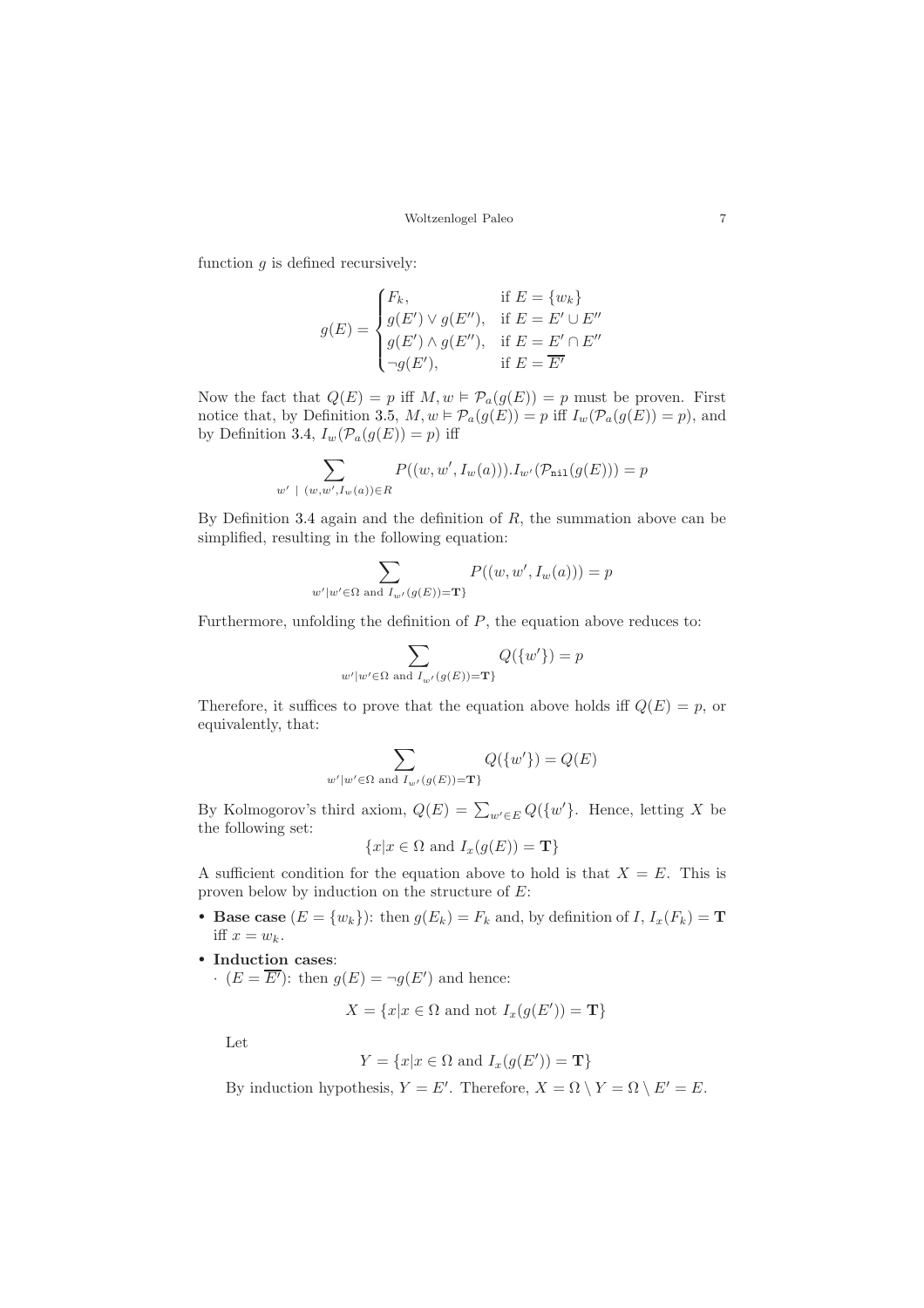function  $g$  is defined recursively:

$$
g(E) = \begin{cases} F_k, & \text{if } E = \{w_k\} \\ g(E') \vee g(E''), & \text{if } E = E' \cup E'' \\ g(E') \wedge g(E''), & \text{if } E = E' \cap E'' \\ \neg g(E'), & \text{if } E = \overline{E'} \end{cases}
$$

Now the fact that  $Q(E) = p$  iff  $M, w \in \mathcal{P}_a(g(E)) = p$  must be proven. First notice that, by Definition [3.5,](#page-4-0)  $M, w \models \mathcal{P}_a(g(E)) = p$  iff  $I_w(\mathcal{P}_a(g(E)) = p)$ , and by Definition [3.4,](#page-4-1)  $I_w(\mathcal{P}_a(g(E)) = p)$  iff

$$
\sum_{w' \; | \; (w,w',I_w(a)) \in R} P((w,w',I_w(a))).I_{w'}(\mathcal{P}_{\text{nil}}(g(E))) = p
$$

By Definition [3.4](#page-4-1) again and the definition of  $R$ , the summation above can be simplified, resulting in the following equation:

$$
\sum_{w'|w'\in\Omega \text{ and } I_{w'}(g(E))=\mathbf{T}\}} P((w,w',I_w(a))) = p
$$

Furthermore, unfolding the definition of  $P$ , the equation above reduces to:

$$
\sum_{w'\mid w'\in \Omega \text{ and } I_{w'}(g(E))=\mathbf{T}\} Q(\{w'\})=p
$$

Therefore, it suffices to prove that the equation above holds iff  $Q(E) = p$ , or equivalently, that:

$$
\sum_{w'\mid w'\in \Omega \text{ and } I_{w'}(g(E))=\mathbf{T}\} Q(\{w'\})=Q(E)
$$

By Kolmogorov's third axiom,  $Q(E) = \sum_{w' \in E} Q({w'}).$  Hence, letting X be the following set:

$$
\{x|x \in \Omega \text{ and } I_x(g(E)) = \mathbf{T}\}\
$$

A sufficient condition for the equation above to hold is that  $X = E$ . This is proven below by induction on the structure of  $E$ :

- Base case  $(E = \{w_k\})$ : then  $g(E_k) = F_k$  and, by definition of  $I, I_x(F_k) = T$ iff  $x = w_k$ .
- Induction cases:

 $\cdot$   $(E = \overline{E'})$ : then  $g(E) = \neg g(E')$  and hence:

 $X = \{x | x \in \Omega \text{ and not } I_x(g(E')) = \mathbf{T}\}\$ 

Let

$$
Y = \{x | x \in \Omega \text{ and } I_x(g(E')) = \mathbf{T}\}
$$

By induction hypothesis,  $Y = E'$ . Therefore,  $X = \Omega \setminus Y = \Omega \setminus E' = E$ .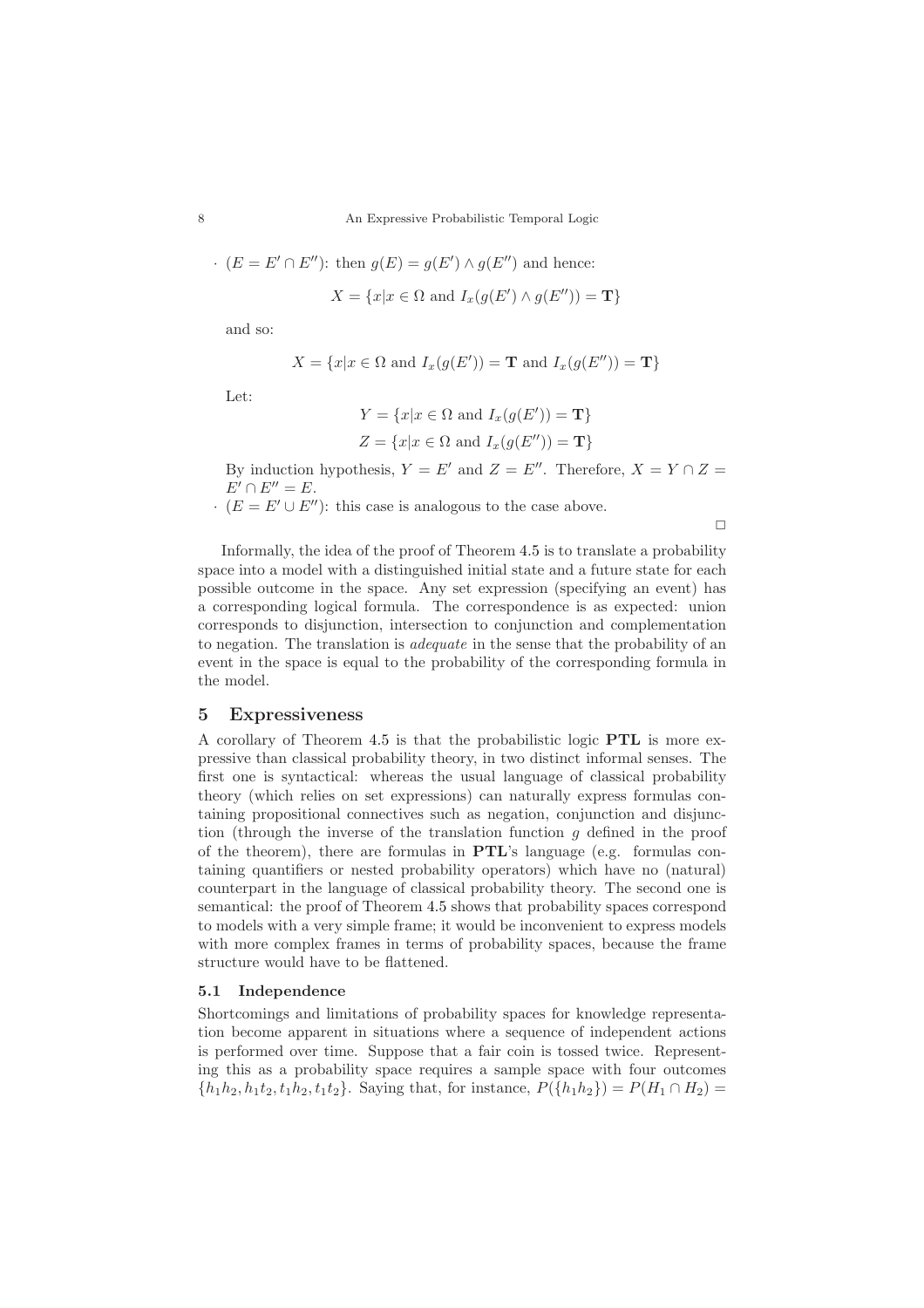$$
(E = E' \cap E'')
$$
: then  $g(E) = g(E') \wedge g(E'')$  and hence:  

$$
X = \{x | x \in \Omega \text{ and } I_x(g(E') \wedge g(E'')) = \mathbf{T}\}
$$

and so:

$$
X = \{x | x \in \Omega \text{ and } I_x(g(E')) = \mathbf{T} \text{ and } I_x(g(E'')) = \mathbf{T}\}
$$

Let:

$$
Y = \{x | x \in \Omega \text{ and } I_x(g(E')) = \mathbf{T}\}
$$
  

$$
Z = \{x | x \in \Omega \text{ and } I_x(g(E'')) = \mathbf{T}\}
$$

By induction hypothesis,  $Y = E'$  and  $Z = E''$ . Therefore,  $X = Y \cap Z =$  $E' \cap E'' = E$ .

 $\cdot$   $(E = E' \cup E'')$ : this case is analogous to the case above.

 $\Box$ 

Informally, the idea of the proof of Theorem [4.5](#page-5-2) is to translate a probability space into a model with a distinguished initial state and a future state for each possible outcome in the space. Any set expression (specifying an event) has a corresponding logical formula. The correspondence is as expected: union corresponds to disjunction, intersection to conjunction and complementation to negation. The translation is adequate in the sense that the probability of an event in the space is equal to the probability of the corresponding formula in the model.

## 5 Expressiveness

A corollary of Theorem [4.5](#page-5-2) is that the probabilistic logic PTL is more expressive than classical probability theory, in two distinct informal senses. The first one is syntactical: whereas the usual language of classical probability theory (which relies on set expressions) can naturally express formulas containing propositional connectives such as negation, conjunction and disjunction (through the inverse of the translation function  $q$  defined in the proof of the theorem), there are formulas in PTL's language (e.g. formulas containing quantifiers or nested probability operators) which have no (natural) counterpart in the language of classical probability theory. The second one is semantical: the proof of Theorem [4.5](#page-5-2) shows that probability spaces correspond to models with a very simple frame; it would be inconvenient to express models with more complex frames in terms of probability spaces, because the frame structure would have to be flattened.

## <span id="page-7-0"></span>5.1 Independence

Shortcomings and limitations of probability spaces for knowledge representation become apparent in situations where a sequence of independent actions is performed over time. Suppose that a fair coin is tossed twice. Representing this as a probability space requires a sample space with four outcomes  ${h_1h_2, h_1t_2, t_1h_2, t_1t_2}$ . Saying that, for instance,  $P({h_1h_2}) = P(H_1 \cap H_2)$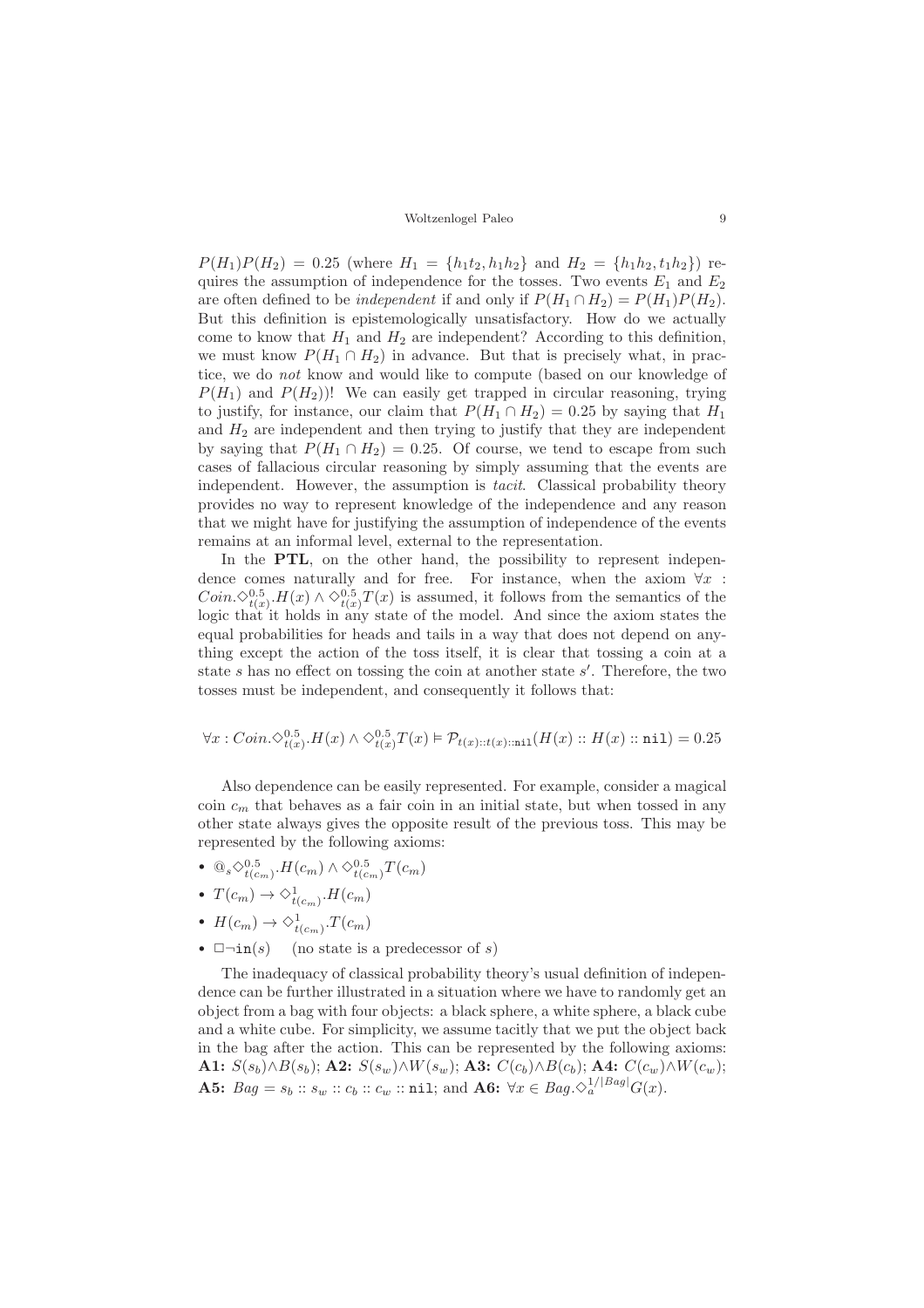$P(H_1)P(H_2) = 0.25$  (where  $H_1 = \{h_1t_2, h_1h_2\}$  and  $H_2 = \{h_1h_2, t_1h_2\}$ ) requires the assumption of independence for the tosses. Two events  $E_1$  and  $E_2$ are often defined to be *independent* if and only if  $P(H_1 \cap H_2) = P(H_1)P(H_2)$ . But this definition is epistemologically unsatisfactory. How do we actually come to know that  $H_1$  and  $H_2$  are independent? According to this definition, we must know  $P(H_1 \cap H_2)$  in advance. But that is precisely what, in practice, we do not know and would like to compute (based on our knowledge of  $P(H_1)$  and  $P(H_2)$ ! We can easily get trapped in circular reasoning, trying to justify, for instance, our claim that  $P(H_1 \cap H_2) = 0.25$  by saying that  $H_1$ and  $H_2$  are independent and then trying to justify that they are independent by saying that  $P(H_1 \cap H_2) = 0.25$ . Of course, we tend to escape from such cases of fallacious circular reasoning by simply assuming that the events are independent. However, the assumption is tacit. Classical probability theory provides no way to represent knowledge of the independence and any reason that we might have for justifying the assumption of independence of the events remains at an informal level, external to the representation.

In the PTL, on the other hand, the possibility to represent independence comes naturally and for free. For instance, when the axiom  $\forall x$ :  $Coin.\Diamond^{0.5}_{t(x)}H(x)\land \Diamond^{0.5}_{t(x)}T(x)$  is assumed, it follows from the semantics of the logic that it holds in any state of the model. And since the axiom states the equal probabilities for heads and tails in a way that does not depend on anything except the action of the toss itself, it is clear that tossing a coin at a state s has no effect on tossing the coin at another state s'. Therefore, the two tosses must be independent, and consequently it follows that:

$$
\forall x: Coin.\Diamond^{0.5}_{t(x)}.H(x) \land \Diamond^{0.5}_{t(x)}T(x) \vDash \mathcal{P}_{t(x)::t(x):::\texttt{nil}}(H(x)::H(x)::\texttt{nil}) = 0.25
$$

Also dependence can be easily represented. For example, consider a magical coin  $c_m$  that behaves as a fair coin in an initial state, but when tossed in any other state always gives the opposite result of the previous toss. This may be represented by the following axioms:

- $\mathbb{Q}_s \diamond_{t(c_m)}^{0.5} H(c_m) \wedge \diamond_{t(c_m)}^{0.5} T(c_m)$
- $T(c_m) \to \Diamond_{t(c_m)}^1$ .  $H(c_m)$
- $H(c_m) \to \Diamond_{t(c_m)}^1$ .  $T(c_m)$
- $\Box \neg \text{in}(s)$  (no state is a predecessor of s)

The inadequacy of classical probability theory's usual definition of independence can be further illustrated in a situation where we have to randomly get an object from a bag with four objects: a black sphere, a white sphere, a black cube and a white cube. For simplicity, we assume tacitly that we put the object back in the bag after the action. This can be represented by the following axioms: A1:  $S(s_b) \wedge B(s_b)$ ; A2:  $S(s_w) \wedge W(s_w)$ ; A3:  $C(c_b) \wedge B(c_b)$ ; A4:  $C(c_w) \wedge W(c_w)$ ; **A5:**  $Bag = s_b :: s_w :: c_b :: c_w :: \texttt{nil};$  and  $\textbf{A6:} \ \forall x \in Bag.\Diamond_a^{1/|Bag|}G(x)$ .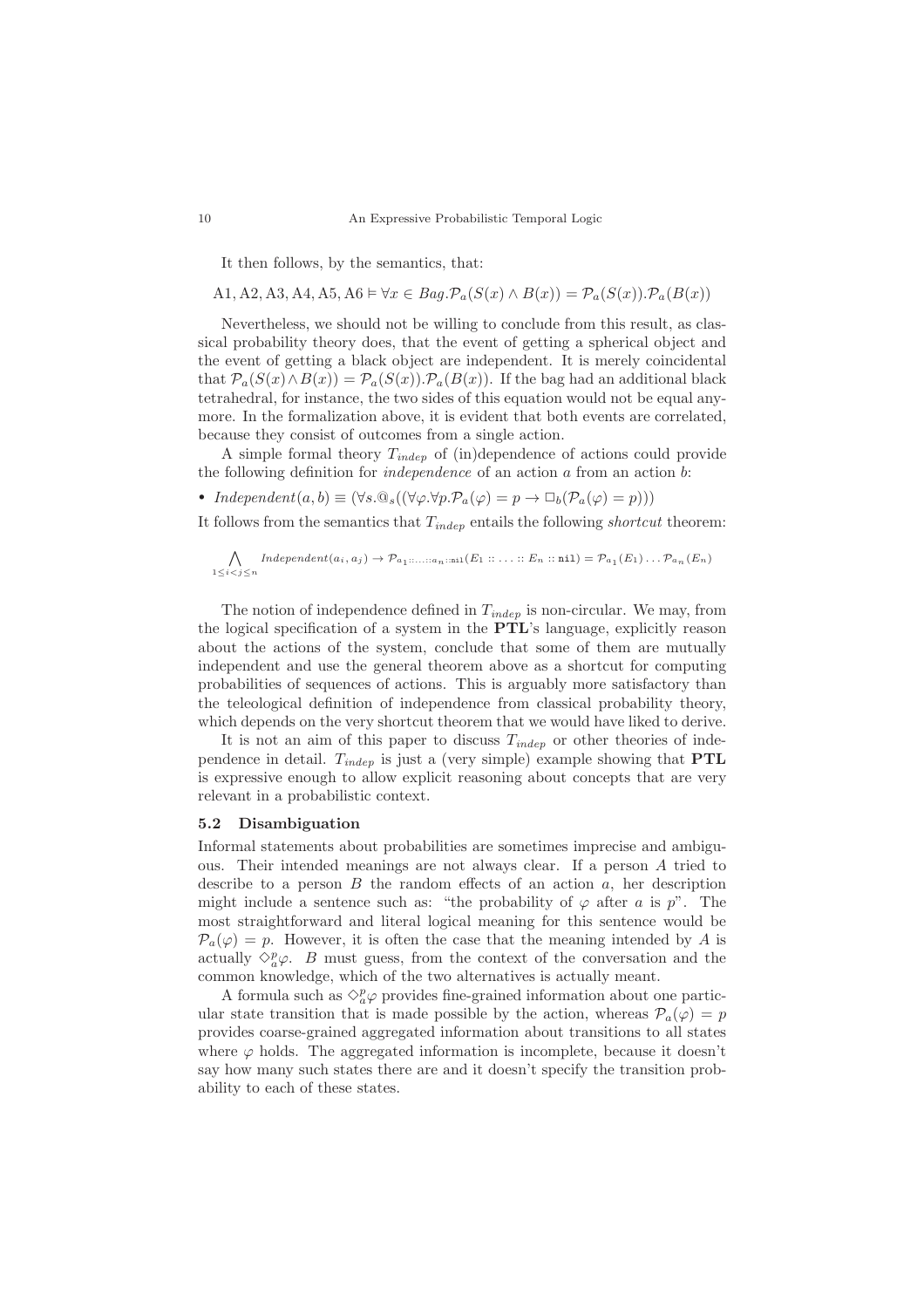It then follows, by the semantics, that:

A1, A2, A3, A4, A5, A6  $\models \forall x \in Bag.\mathcal{P}_a(S(x) \wedge B(x)) = \mathcal{P}_a(S(x)).\mathcal{P}_a(B(x))$ 

Nevertheless, we should not be willing to conclude from this result, as classical probability theory does, that the event of getting a spherical object and the event of getting a black object are independent. It is merely coincidental that  $\mathcal{P}_a(S(x) \wedge B(x)) = \mathcal{P}_a(S(x)).\mathcal{P}_a(B(x)).$  If the bag had an additional black tetrahedral, for instance, the two sides of this equation would not be equal anymore. In the formalization above, it is evident that both events are correlated, because they consist of outcomes from a single action.

A simple formal theory  $T_{indep}$  of (in)dependence of actions could provide the following definition for *independence* of an action  $a$  from an action  $b$ :

• Independent $(a, b) \equiv (\forall s. @_s((\forall \varphi. \forall p. \mathcal{P}_a(\varphi) = p \rightarrow \Box_b(\mathcal{P}_a(\varphi) = p)))$ 

It follows from the semantics that  $T_{indep}$  entails the following *shortcut* theorem:

$$
\bigwedge_{1 \leq i < j \leq n} \text{Independent}(a_i, a_j) \to \mathcal{P}_{a_1; \dots; a_n; \min}(E_1; \dots; E_n; \text{inil}) = \mathcal{P}_{a_1}(E_1) \dots \mathcal{P}_{a_n}(E_n)
$$

The notion of independence defined in  $T_{indep}$  is non-circular. We may, from the logical specification of a system in the PTL's language, explicitly reason about the actions of the system, conclude that some of them are mutually independent and use the general theorem above as a shortcut for computing probabilities of sequences of actions. This is arguably more satisfactory than the teleological definition of independence from classical probability theory, which depends on the very shortcut theorem that we would have liked to derive.

It is not an aim of this paper to discuss  $T_{indep}$  or other theories of independence in detail.  $T_{indep}$  is just a (very simple) example showing that **PTL** is expressive enough to allow explicit reasoning about concepts that are very relevant in a probabilistic context.

### <span id="page-9-0"></span>5.2 Disambiguation

Informal statements about probabilities are sometimes imprecise and ambiguous. Their intended meanings are not always clear. If a person A tried to describe to a person  $B$  the random effects of an action  $a$ , her description might include a sentence such as: "the probability of  $\varphi$  after a is p". The most straightforward and literal logical meaning for this sentence would be  $\mathcal{P}_a(\varphi) = p$ . However, it is often the case that the meaning intended by A is actually  $\Diamond_{a}^{p} \varphi$ . *B* must guess, from the context of the conversation and the common knowledge, which of the two alternatives is actually meant.

A formula such as  $\Diamond_{a}^{p}\varphi$  provides fine-grained information about one particular state transition that is made possible by the action, whereas  $\mathcal{P}_a(\varphi) = p$ provides coarse-grained aggregated information about transitions to all states where  $\varphi$  holds. The aggregated information is incomplete, because it doesn't say how many such states there are and it doesn't specify the transition probability to each of these states.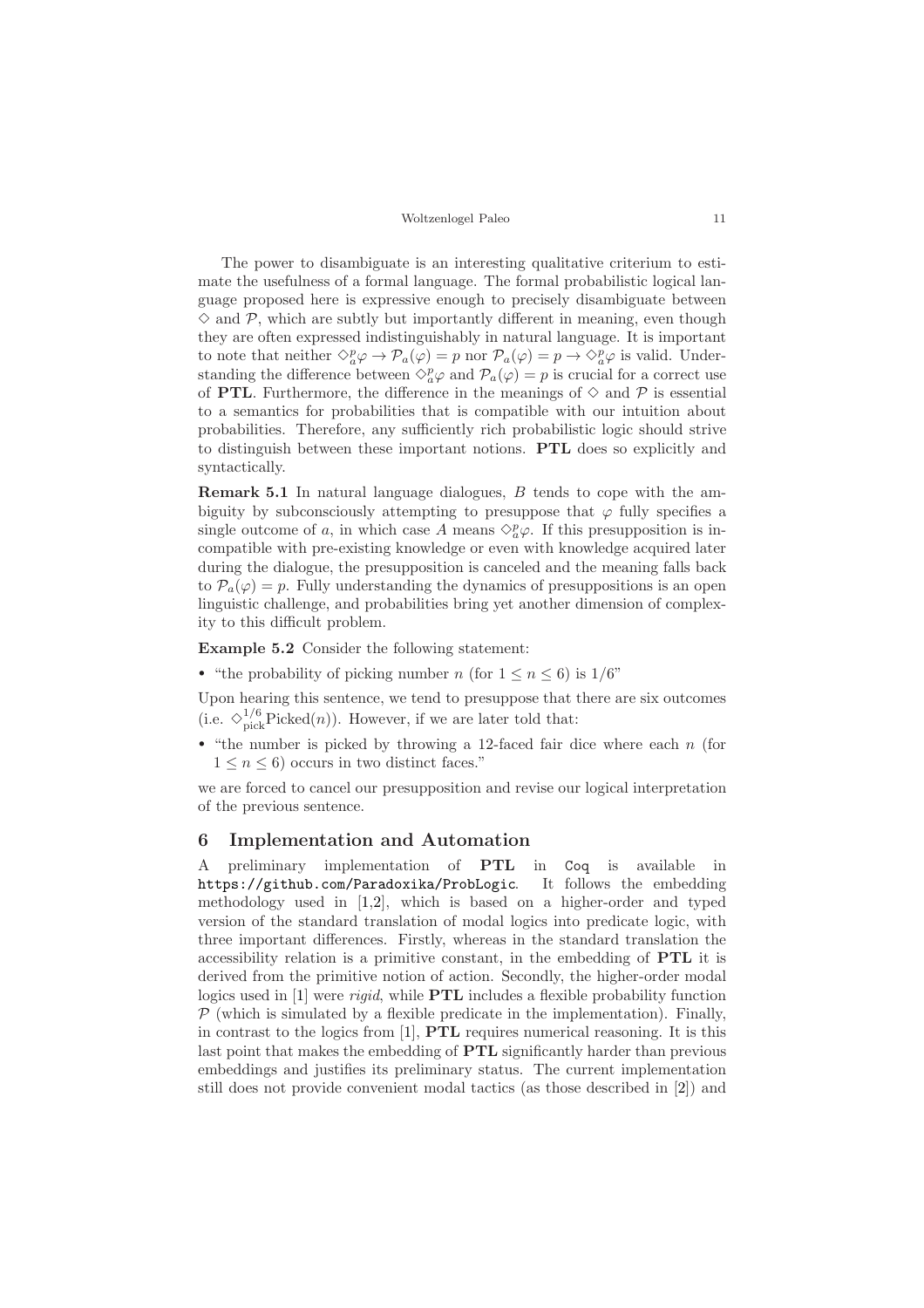The power to disambiguate is an interesting qualitative criterium to estimate the usefulness of a formal language. The formal probabilistic logical language proposed here is expressive enough to precisely disambiguate between  $\Diamond$  and  $\mathcal{P}$ , which are subtly but importantly different in meaning, even though they are often expressed indistinguishably in natural language. It is important to note that neither  $\Diamond_{a}^{p} \varphi \to \mathcal{P}_{a}(\varphi) = p$  nor  $\mathcal{P}_{a}(\varphi) = p \to \Diamond_{a}^{p} \varphi$  is valid. Understanding the difference between  $\Diamond_p^p \varphi$  and  $\mathcal{P}_a(\varphi) = p$  is crucial for a correct use of PTL. Furthermore, the difference in the meanings of  $\diamond$  and  $P$  is essential to a semantics for probabilities that is compatible with our intuition about probabilities. Therefore, any sufficiently rich probabilistic logic should strive to distinguish between these important notions. PTL does so explicitly and syntactically.

Remark 5.1 In natural language dialogues, B tends to cope with the ambiguity by subconsciously attempting to presuppose that  $\varphi$  fully specifies a single outcome of a, in which case A means  $\Diamond_{a}^{p}\varphi$ . If this presupposition is incompatible with pre-existing knowledge or even with knowledge acquired later during the dialogue, the presupposition is canceled and the meaning falls back to  $P_a(\varphi) = p$ . Fully understanding the dynamics of presuppositions is an open linguistic challenge, and probabilities bring yet another dimension of complexity to this difficult problem.

Example 5.2 Consider the following statement:

• "the probability of picking number n (for  $1 \leq n \leq 6$ ) is  $1/6$ "

Upon hearing this sentence, we tend to presuppose that there are six outcomes (i.e.  $\diamondsuit_{\text{pick}}^{1/6}$ Picked $(n)$ ). However, if we are later told that:

• "the number is picked by throwing a 12-faced fair dice where each  $n$  (for  $1 \leq n \leq 6$ ) occurs in two distinct faces."

we are forced to cancel our presupposition and revise our logical interpretation of the previous sentence.

## <span id="page-10-0"></span>6 Implementation and Automation

A preliminary implementation of PTL in Coq is available in <https://github.com/Paradoxika/ProbLogic>. It follows the embedding methodology used in [\[1](#page-15-4)[,2\]](#page-15-5), which is based on a higher-order and typed version of the standard translation of modal logics into predicate logic, with three important differences. Firstly, whereas in the standard translation the accessibility relation is a primitive constant, in the embedding of PTL it is derived from the primitive notion of action. Secondly, the higher-order modal logics used in [\[1\]](#page-15-4) were *rigid*, while **PTL** includes a flexible probability function  $\mathcal P$  (which is simulated by a flexible predicate in the implementation). Finally, in contrast to the logics from  $[1]$ , **PTL** requires numerical reasoning. It is this last point that makes the embedding of PTL significantly harder than previous embeddings and justifies its preliminary status. The current implementation still does not provide convenient modal tactics (as those described in [\[2\]](#page-15-5)) and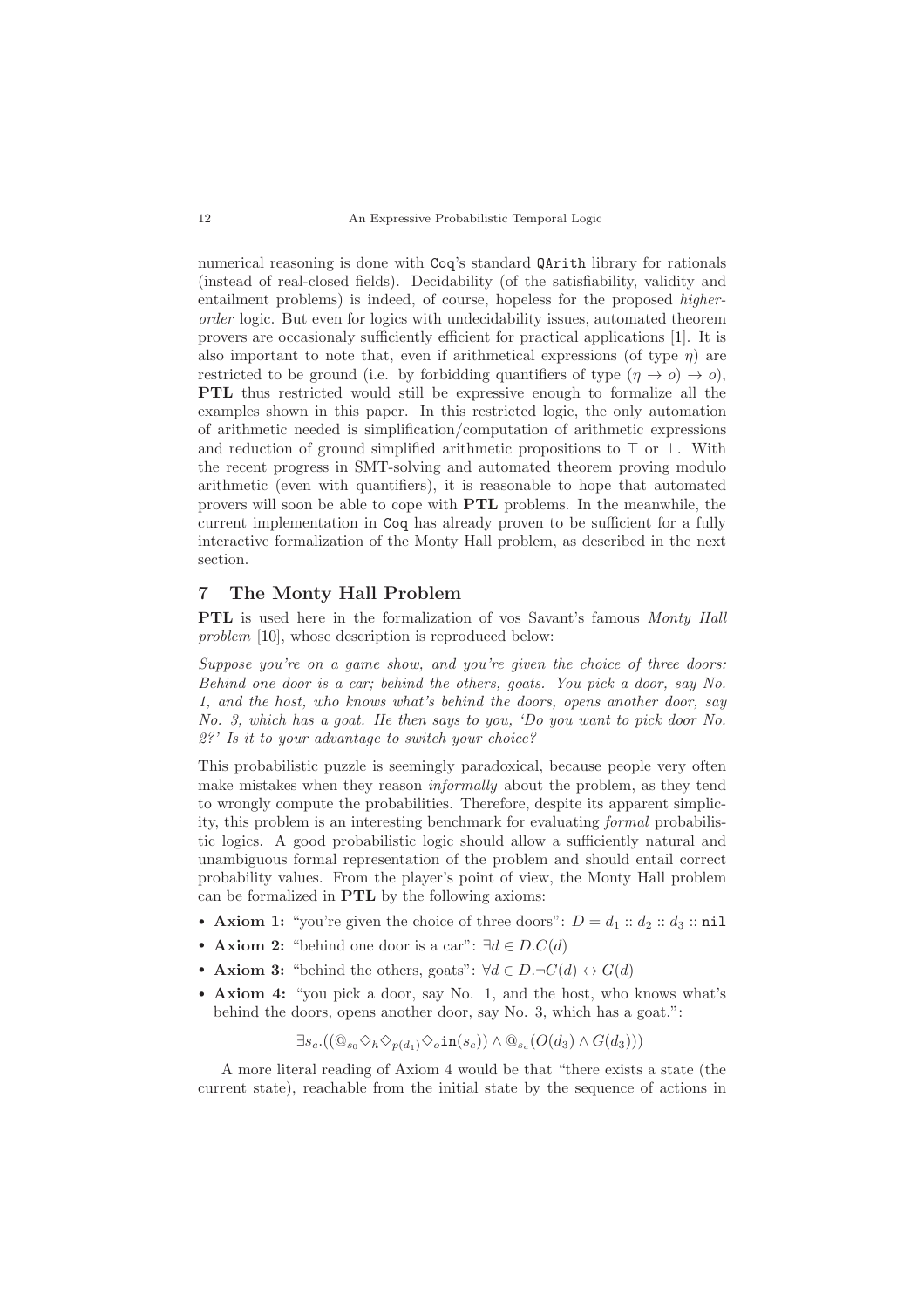numerical reasoning is done with Coq's standard QArith library for rationals (instead of real-closed fields). Decidability (of the satisfiability, validity and entailment problems) is indeed, of course, hopeless for the proposed higherorder logic. But even for logics with undecidability issues, automated theorem provers are occasionaly sufficiently efficient for practical applications [\[1\]](#page-15-4). It is also important to note that, even if arithmetical expressions (of type  $\eta$ ) are restricted to be ground (i.e. by forbidding quantifiers of type  $(\eta \to 0) \to 0$ ), PTL thus restricted would still be expressive enough to formalize all the examples shown in this paper. In this restricted logic, the only automation of arithmetic needed is simplification/computation of arithmetic expressions and reduction of ground simplified arithmetic propositions to  $\top$  or  $\bot$ . With the recent progress in SMT-solving and automated theorem proving modulo arithmetic (even with quantifiers), it is reasonable to hope that automated provers will soon be able to cope with PTL problems. In the meanwhile, the current implementation in Coq has already proven to be sufficient for a fully interactive formalization of the Monty Hall problem, as described in the next section.

## <span id="page-11-0"></span>7 The Monty Hall Problem

PTL is used here in the formalization of vos Savant's famous Monty Hall problem [\[10\]](#page-15-1), whose description is reproduced below:

Suppose you're on a game show, and you're given the choice of three doors: Behind one door is a car; behind the others, goats. You pick a door, say No. 1, and the host, who knows what's behind the doors, opens another door, say No. 3, which has a goat. He then says to you, 'Do you want to pick door No. 2?' Is it to your advantage to switch your choice?

This probabilistic puzzle is seemingly paradoxical, because people very often make mistakes when they reason informally about the problem, as they tend to wrongly compute the probabilities. Therefore, despite its apparent simplicity, this problem is an interesting benchmark for evaluating formal probabilistic logics. A good probabilistic logic should allow a sufficiently natural and unambiguous formal representation of the problem and should entail correct probability values. From the player's point of view, the Monty Hall problem can be formalized in PTL by the following axioms:

- Axiom 1: "you're given the choice of three doors":  $D = d_1 :: d_2 :: d_3 :: \text{nil}$
- Axiom 2: "behind one door is a car":  $\exists d \in D.C(d)$
- Axiom 3: "behind the others, goats":  $\forall d \in D. \neg C(d) \leftrightarrow G(d)$
- Axiom 4: "you pick a door, say No. 1, and the host, who knows what's behind the doors, opens another door, say No. 3, which has a goat.":

$$
\exists s_c \cdot ((@_{s_0} \Diamond_h \Diamond_{p(d_1)} \Diamond_o \text{in}(s_c)) \land @_{s_c}(O(d_3) \land G(d_3)))
$$

A more literal reading of Axiom 4 would be that "there exists a state (the current state), reachable from the initial state by the sequence of actions in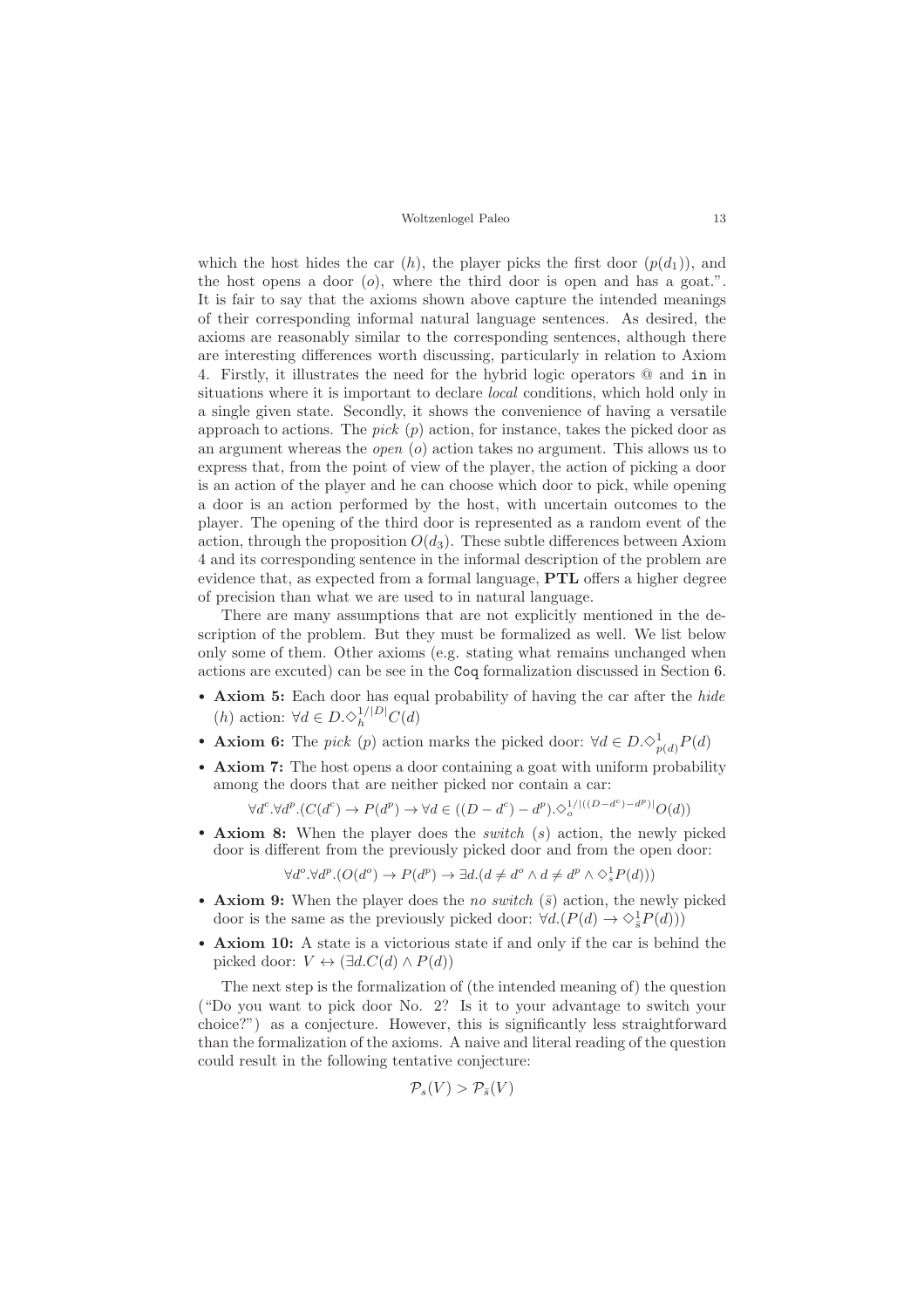which the host hides the car  $(h)$ , the player picks the first door  $(p(d_1))$ , and the host opens a door  $(o)$ , where the third door is open and has a goat.". It is fair to say that the axioms shown above capture the intended meanings of their corresponding informal natural language sentences. As desired, the axioms are reasonably similar to the corresponding sentences, although there are interesting differences worth discussing, particularly in relation to Axiom 4. Firstly, it illustrates the need for the hybrid logic operators @ and in in situations where it is important to declare local conditions, which hold only in a single given state. Secondly, it shows the convenience of having a versatile approach to actions. The *pick*  $(p)$  action, for instance, takes the picked door as an argument whereas the open (o) action takes no argument. This allows us to express that, from the point of view of the player, the action of picking a door is an action of the player and he can choose which door to pick, while opening a door is an action performed by the host, with uncertain outcomes to the player. The opening of the third door is represented as a random event of the action, through the proposition  $O(d_3)$ . These subtle differences between Axiom 4 and its corresponding sentence in the informal description of the problem are evidence that, as expected from a formal language, PTL offers a higher degree of precision than what we are used to in natural language.

There are many assumptions that are not explicitly mentioned in the description of the problem. But they must be formalized as well. We list below only some of them. Other axioms (e.g. stating what remains unchanged when actions are excuted) can be see in the Coq formalization discussed in Section [6.](#page-10-0)

- Axiom 5: Each door has equal probability of having the car after the hide (h) action:  $\forall d \in D. \Diamond_{h}^{1/|D|} C(d)$
- **Axiom 6:** The *pick* (*p*) action marks the picked door:  $\forall d \in D. \Diamond_{p(d)}^1 P(d)$
- Axiom 7: The host opens a door containing a goat with uniform probability among the doors that are neither picked nor contain a car:

 $\forall d^c \cdot \forall d^p \cdot (C(d^c) \rightarrow P(d^p) \rightarrow \forall d \in ((D - d^c) - d^p) \cdot \Diamond_{o}^{1/((D - d^c) - d^p)} \cup O(d))$ 

• Axiom 8: When the player does the *switch*  $(s)$  action, the newly picked door is different from the previously picked door and from the open door:

 $\forall d^o. \forall d^p. (O(d^o) \rightarrow P(d^p) \rightarrow \exists d. (d \neq d^o \land d \neq d^p \land \Diamond_s^1 P(d)))$ 

- Axiom 9: When the player does the no switch  $(\bar{s})$  action, the newly picked door is the same as the previously picked door:  $\forall d.(P(d) \rightarrow \Diamond_{\overline{s}}^1 P(d)))$
- Axiom 10: A state is a victorious state if and only if the car is behind the picked door:  $V \leftrightarrow (\exists d.C(d) \wedge P(d))$

The next step is the formalization of (the intended meaning of) the question ("Do you want to pick door No. 2? Is it to your advantage to switch your choice?") as a conjecture. However, this is significantly less straightforward than the formalization of the axioms. A naive and literal reading of the question could result in the following tentative conjecture:

$$
\mathcal{P}_s(V) > \mathcal{P}_{\bar{s}}(V)
$$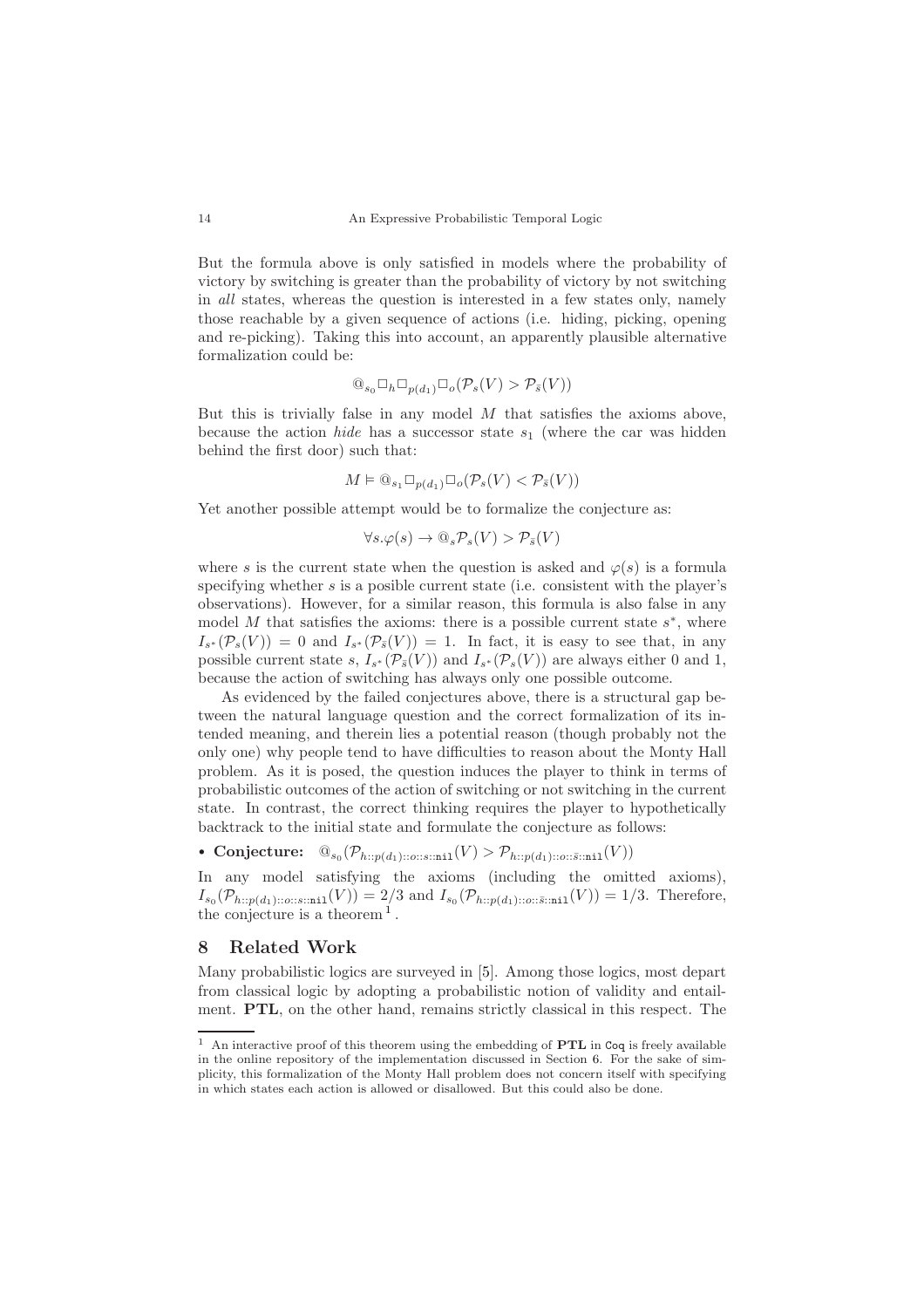But the formula above is only satisfied in models where the probability of victory by switching is greater than the probability of victory by not switching in all states, whereas the question is interested in a few states only, namely those reachable by a given sequence of actions (i.e. hiding, picking, opening and re-picking). Taking this into account, an apparently plausible alternative formalization could be:

$$
@_{s_0} \Box_h \Box_{p(d_1)} \Box_o(\mathcal{P}_s(V) > \mathcal{P}_{\bar{s}}(V))
$$

But this is trivially false in any model  $M$  that satisfies the axioms above, because the action *hide* has a successor state  $s_1$  (where the car was hidden behind the first door) such that:

$$
M \vDash \textcircled{a}_{s_1} \square_{p(d_1)} \square_o(\mathcal{P}_s(V) < \mathcal{P}_{\bar{s}}(V))
$$

Yet another possible attempt would be to formalize the conjecture as:

$$
\forall s. \varphi(s) \to \mathbb{Q}_s \mathcal{P}_s(V) > \mathcal{P}_{\bar{s}}(V)
$$

where s is the current state when the question is asked and  $\varphi(s)$  is a formula specifying whether s is a posible current state (i.e. consistent with the player's observations). However, for a similar reason, this formula is also false in any model M that satisfies the axioms: there is a possible current state  $s^*$ , where  $I_{s^*}(\mathcal{P}_s(V)) = 0$  and  $I_{s^*}(\mathcal{P}_{\bar{s}}(V)) = 1$ . In fact, it is easy to see that, in any possible current state s,  $I_{s^*}(\mathcal{P}_{\bar{s}}(V))$  and  $I_{s^*}(\mathcal{P}_{s}(V))$  are always either 0 and 1, because the action of switching has always only one possible outcome.

As evidenced by the failed conjectures above, there is a structural gap between the natural language question and the correct formalization of its intended meaning, and therein lies a potential reason (though probably not the only one) why people tend to have difficulties to reason about the Monty Hall problem. As it is posed, the question induces the player to think in terms of probabilistic outcomes of the action of switching or not switching in the current state. In contrast, the correct thinking requires the player to hypothetically backtrack to the initial state and formulate the conjecture as follows:

• Conjecture:  $\mathbb{O}_{s_0}(\mathcal{P}_{h::p(d_1)::o::s::\texttt{nil}}(V) > \mathcal{P}_{h::p(d_1)::o::\bar{s}: \texttt{nil}}(V))$ 

In any model satisfying the axioms (including the omitted axioms).  $I_{s_0}(\mathcal{P}_{h::p(d_1):o::s::\text{min1}}(V)) = 2/3$  and  $I_{s_0}(\mathcal{P}_{h::p(d_1):o::\bar{s}:m1}(V)) = 1/3$ . Therefore, the conjecture is a theorem  $<sup>1</sup>$  $<sup>1</sup>$  $<sup>1</sup>$ .</sup>

## <span id="page-13-0"></span>8 Related Work

Many probabilistic logics are surveyed in [\[5\]](#page-15-6). Among those logics, most depart from classical logic by adopting a probabilistic notion of validity and entailment. PTL, on the other hand, remains strictly classical in this respect. The

<span id="page-13-1"></span> $^{\rm 1}$  An interactive proof of this theorem using the embedding of  ${\bf PTL}$  in Coq is freely available in the online repository of the implementation discussed in Section [6.](#page-10-0) For the sake of simplicity, this formalization of the Monty Hall problem does not concern itself with specifying in which states each action is allowed or disallowed. But this could also be done.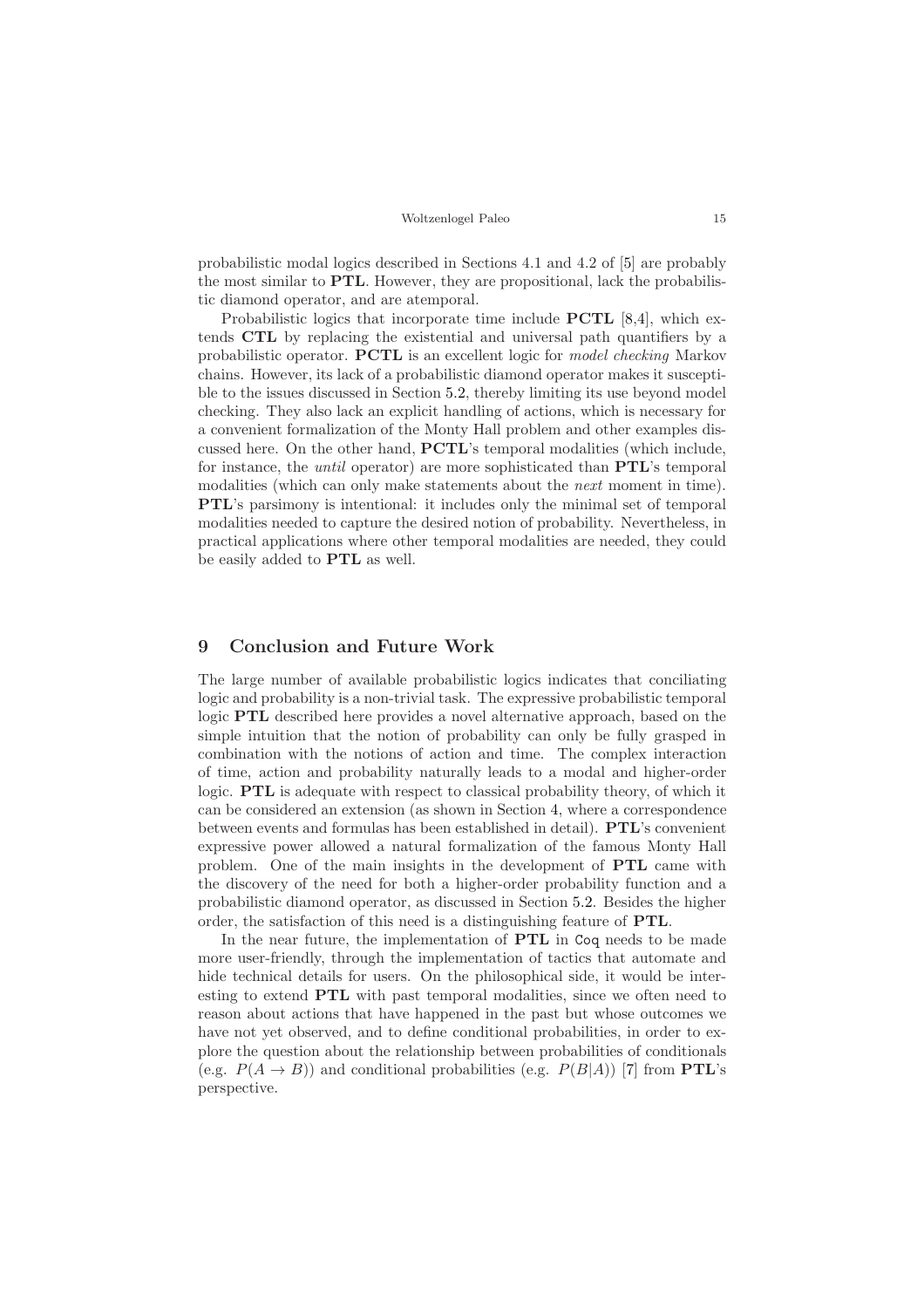probabilistic modal logics described in Sections 4.1 and 4.2 of [\[5\]](#page-15-6) are probably the most similar to PTL. However, they are propositional, lack the probabilistic diamond operator, and are atemporal.

Probabilistic logics that incorporate time include PCTL [\[8](#page-15-7)[,4\]](#page-15-8), which extends CTL by replacing the existential and universal path quantifiers by a probabilistic operator. PCTL is an excellent logic for model checking Markov chains. However, its lack of a probabilistic diamond operator makes it susceptible to the issues discussed in Section [5.2,](#page-9-0) thereby limiting its use beyond model checking. They also lack an explicit handling of actions, which is necessary for a convenient formalization of the Monty Hall problem and other examples discussed here. On the other hand, PCTL's temporal modalities (which include, for instance, the until operator) are more sophisticated than PTL's temporal modalities (which can only make statements about the next moment in time). PTL's parsimony is intentional: it includes only the minimal set of temporal modalities needed to capture the desired notion of probability. Nevertheless, in practical applications where other temporal modalities are needed, they could be easily added to PTL as well.

## 9 Conclusion and Future Work

The large number of available probabilistic logics indicates that conciliating logic and probability is a non-trivial task. The expressive probabilistic temporal logic PTL described here provides a novel alternative approach, based on the simple intuition that the notion of probability can only be fully grasped in combination with the notions of action and time. The complex interaction of time, action and probability naturally leads to a modal and higher-order logic. PTL is adequate with respect to classical probability theory, of which it can be considered an extension (as shown in Section [4,](#page-5-0) where a correspondence between events and formulas has been established in detail). PTL's convenient expressive power allowed a natural formalization of the famous Monty Hall problem. One of the main insights in the development of PTL came with the discovery of the need for both a higher-order probability function and a probabilistic diamond operator, as discussed in Section [5.2.](#page-9-0) Besides the higher order, the satisfaction of this need is a distinguishing feature of PTL.

In the near future, the implementation of PTL in Coq needs to be made more user-friendly, through the implementation of tactics that automate and hide technical details for users. On the philosophical side, it would be interesting to extend PTL with past temporal modalities, since we often need to reason about actions that have happened in the past but whose outcomes we have not yet observed, and to define conditional probabilities, in order to explore the question about the relationship between probabilities of conditionals (e.g.  $P(A \rightarrow B)$ ) and conditional probabilities (e.g.  $P(B|A)$ ) [\[7\]](#page-15-9) from **PTL**'s perspective.